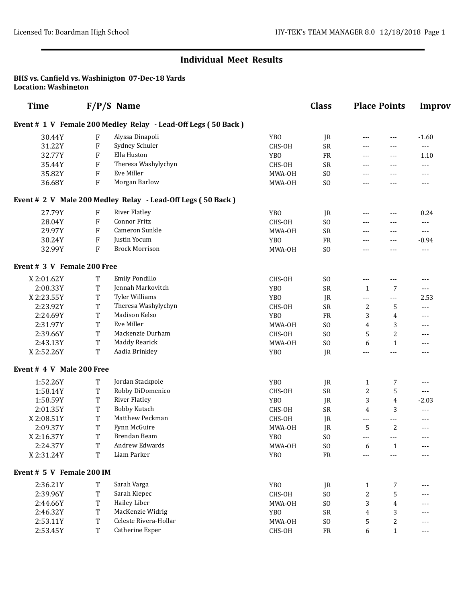#### BHS vs. Canfield vs. Washinigton 07-Dec-18 Yards Location: Washington

| <b>Time</b>                 |         | $F/P/S$ Name                                                  |                 | <b>Class</b>    | <b>Place Points</b>  |                | <b>Improv</b> |
|-----------------------------|---------|---------------------------------------------------------------|-----------------|-----------------|----------------------|----------------|---------------|
|                             |         | Event # 1 V Female 200 Medley Relay - Lead-Off Legs (50 Back) |                 |                 |                      |                |               |
| 30.44Y                      | F       | Alyssa Dinapoli                                               | <b>YBO</b>      | JR              | $\frac{1}{2}$        | $\cdots$       | $-1.60$       |
| 31.22Y                      | F       | Sydney Schuler                                                | CHS-OH          | SR              | $\frac{1}{2}$        | $\cdots$       | $---$         |
| 32.77Y                      | F       | Ella Huston                                                   | <b>YBO</b>      | FR              | $\frac{1}{2}$        | $\cdots$       | 1.10          |
| 35.44Y                      | F       | Theresa Washylychyn                                           | CHS-OH          | <b>SR</b>       | $\frac{1}{2}$        | $\cdots$       | ---           |
| 35.82Y                      | F       | Eve Miller                                                    | MWA-OH          | S <sub>O</sub>  | $\frac{1}{2}$        | $\cdots$       | ---           |
| 36.68Y                      | F       | Morgan Barlow                                                 | MWA-OH          | S <sub>O</sub>  | $\frac{1}{2}$        | $---$          | ---           |
|                             |         | Event # 2 V Male 200 Medley Relay - Lead-Off Legs (50 Back)   |                 |                 |                      |                |               |
| 27.79Y                      | F       | <b>River Flatley</b>                                          | <b>YBO</b>      | JR              | $---$                | $\cdots$       | 0.24          |
| 28.04Y                      | $\rm F$ | <b>Connor Fritz</b>                                           | CHS-OH          | S <sub>O</sub>  | $---$                | $---$          | $---$         |
| 29.97Y                      | $\rm F$ | Cameron Sunkle                                                | MWA-OH          | <b>SR</b>       | $---$                | $---$          | $---$         |
| 30.24Y                      | $\rm F$ | Justin Yocum                                                  | <b>YBO</b>      | FR              | $---$                | $---$          | $-0.94$       |
| 32.99Y                      | F       | <b>Brock Morrison</b>                                         | MWA-OH          | S <sub>O</sub>  | $\frac{1}{2}$        | ---            | ---           |
| Event # 3 V Female 200 Free |         |                                                               |                 |                 |                      |                |               |
| X2:01.62Y                   | T       | Emily Pondillo                                                | CHS-OH          | S <sub>O</sub>  | $---$                | $---$          | $---$         |
| 2:08.33Y                    | T       | Jennah Markovitch                                             | YB <sub>0</sub> | SR              | $\mathbf{1}$         | 7              | $\cdots$      |
| X2:23.55Y                   | T       | <b>Tyler Williams</b>                                         | <b>YBO</b>      | JR              | $---$                | ---            | 2.53          |
| 2:23.92Y                    | T       | Theresa Washylychyn                                           | CHS-OH          | SR              | $\boldsymbol{2}$     | 5              | $\cdots$      |
| 2:24.69Y                    | T       | Madison Kelso                                                 | <b>YBO</b>      | FR              | 3                    | $\overline{4}$ | $---$         |
| 2:31.97Y                    | T       | Eve Miller                                                    | MWA-OH          | S <sub>O</sub>  | 4                    | 3              | $---$         |
| 2:39.66Y                    | T       | Mackenzie Durham                                              | CHS-OH          | S <sub>O</sub>  | 5                    | $\overline{c}$ | $---$         |
| 2:43.13Y                    | T       | Maddy Rearick                                                 | MWA-OH          | S <sub>O</sub>  | 6                    | $\mathbf{1}$   | ---           |
| X2:52.26Y                   | T       | Aadia Brinkley                                                | <b>YBO</b>      | JR              | $---$                | ---            | ---           |
| Event # 4 V Male 200 Free   |         |                                                               |                 |                 |                      |                |               |
| 1:52.26Y                    | T       | Jordan Stackpole                                              | <b>YBO</b>      | JR              | 1                    | 7              | ---           |
| 1:58.14Y                    | T       | Robby DiDomenico                                              | CHS-OH          | <b>SR</b>       | 2                    | 5              | $---$         |
| 1:58.59Y                    | T       | <b>River Flatley</b>                                          | <b>YBO</b>      | JR              | 3                    | 4              | $-2.03$       |
| 2:01.35Y                    | T       | <b>Bobby Kutsch</b>                                           | CHS-OH          | <b>SR</b>       | 4                    | 3              | $---$         |
| X2:08.51Y                   | T       | Matthew Peckman                                               | CHS-OH          | JR              | $\qquad \qquad - -$  | ---            | ---           |
| 2:09.37Y                    | T       | Fynn McGuire                                                  | MWA-OH          | JR              | 5                    | 2              | ---           |
| X2:16.37Y                   | T       | Brendan Beam                                                  | <b>YBO</b>      | S <sub>O</sub>  | $\sim$ $\sim$ $\sim$ | $---$          | $---$         |
| 2:24.37Y                    | T       | Andrew Edwards                                                | MWA-OH          | ${\rm S0}$      | 6                    | $\mathbf{1}$   | ---           |
| X2:31.24Y                   | T       | Liam Parker                                                   | YB <sub>0</sub> | FR              | $---$                | ---            | ---           |
| Event # 5 V Female 200 IM   |         |                                                               |                 |                 |                      |                |               |
| 2:36.21Y                    | T       | Sarah Varga                                                   | YB <sub>0</sub> | JR              | $\mathbf{1}$         | 7              | ---           |
| 2:39.96Y                    | T       | Sarah Klepec                                                  | CHS-OH          | SO <sub>1</sub> | 2                    | 5              | ---           |
| 2:44.66Y                    | T       | <b>Hailey Liber</b>                                           | MWA-OH          | SO <sub>1</sub> | 3                    | 4              | ---           |
| 2:46.32Y                    | T       | MacKenzie Widrig                                              | YB <sub>0</sub> | SR              | 4                    | 3              | ---           |
| 2:53.11Y                    | T       | Celeste Rivera-Hollar                                         | MWA-OH          | SO <sub>1</sub> | 5                    | 2              | ---           |
| 2:53.45Y                    | T       | Catherine Esper                                               | CHS-OH          | FR              | 6                    | $\mathbf{1}$   | ---           |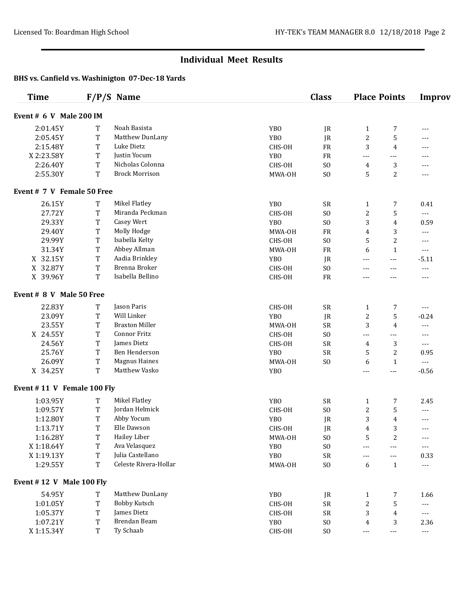| <b>Time</b>                |             | $F/P/S$ Name          |                 | <b>Class</b>    |                  | <b>Place Points</b> | <b>Improv</b>            |
|----------------------------|-------------|-----------------------|-----------------|-----------------|------------------|---------------------|--------------------------|
| Event # 6 V Male 200 IM    |             |                       |                 |                 |                  |                     |                          |
| 2:01.45Y                   | T           | Noah Basista          | <b>YBO</b>      | JR              | $\mathbf{1}$     | 7                   | ---                      |
| 2:05.45Y                   | T           | Matthew DunLany       | <b>YBO</b>      | JR              | $\boldsymbol{2}$ | 5                   | ---                      |
| 2:15.48Y                   | $\mathbf T$ | Luke Dietz            | CHS-OH          | FR              | 3                | 4                   | ---                      |
| X2:23.58Y                  | T           | Justin Yocum          | YB <sub>0</sub> | FR              | ---              | $---$               | ---                      |
| 2:26.40Y                   | $\mathbf T$ | Nicholas Colonna      | CHS-OH          | SO <sub>1</sub> | 4                | 3                   | ---                      |
| 2:55.30Y                   | $\mathbf T$ | <b>Brock Morrison</b> | MWA-OH          | S <sub>O</sub>  | 5                | $\overline{c}$      | ---                      |
| Event # 7 V Female 50 Free |             |                       |                 |                 |                  |                     |                          |
| 26.15Y                     | $\mathbf T$ | Mikel Flatley         | <b>YBO</b>      | SR              | $\mathbf{1}$     | 7                   | 0.41                     |
| 27.72Y                     | $\mathbf T$ | Miranda Peckman       | CHS-OH          | S <sub>O</sub>  | 2                | 5                   | ---                      |
| 29.33Y                     | T           | Casey Wert            | <b>YBO</b>      | S <sub>O</sub>  | 3                | $\overline{4}$      | 0.59                     |
| 29.40Y                     | T           | Molly Hodge           | MWA-OH          | FR              | 4                | 3                   | ---                      |
| 29.99Y                     | $\mathbf T$ | Isabella Kelty        | CHS-OH          | S <sub>O</sub>  | 5                | 2                   | ---                      |
| 31.34Y                     | T           | Abbey Allman          | MWA-OH          | FR              | 6                | $\mathbf{1}$        | ---                      |
| X 32.15Y                   | $\mathbf T$ | Aadia Brinkley        | <b>YBO</b>      | JR              | ---              | $- - -$             | $-5.11$                  |
| X 32.87Y                   | $\mathbf T$ | Brenna Broker         | CHS-OH          | SO <sub>1</sub> | ---              | $\cdots$            | ---                      |
| X 39.96Y                   | $\mathbf T$ | Isabella Bellino      | CHS-OH          | FR              | ---              | $---$               | ---                      |
| Event # 8 V Male 50 Free   |             |                       |                 |                 |                  |                     |                          |
| 22.83Y                     | T           | Jason Paris           | CHS-OH          | <b>SR</b>       | $\mathbf{1}$     | 7                   | $\overline{\phantom{a}}$ |
| 23.09Y                     | $\mathbf T$ | Will Linker           | YB <sub>0</sub> | JR              | 2                | 5                   | $-0.24$                  |
| 23.55Y                     | T           | <b>Braxton Miller</b> | MWA-OH          | SR              | 3                | 4                   | $\overline{\phantom{a}}$ |
| X 24.55Y                   | T           | Connor Fritz          | CHS-OH          | S <sub>O</sub>  | $---$            | $---$               | $---$                    |
| 24.56Y                     | T           | James Dietz           | CHS-OH          | <b>SR</b>       | 4                | 3                   | $\sim$ $\sim$ $\sim$     |
| 25.76Y                     | T           | Ben Henderson         | YB <sub>0</sub> | <b>SR</b>       | 5                | $\overline{2}$      | 0.95                     |
| 26.09Y                     | $\mathbf T$ | <b>Magnus Haines</b>  | MWA-OH          | S <sub>O</sub>  | 6                | $\mathbf{1}$        | $\sim$ $\sim$            |
| X 34.25Y                   | T           | Matthew Vasko         | <b>YBO</b>      |                 | $---$            | $---$               | $-0.56$                  |
| Event #11 V Female 100 Fly |             |                       |                 |                 |                  |                     |                          |
| 1:03.95Y                   | T           | Mikel Flatley         | <b>YBO</b>      | SR              | $\mathbf{1}$     | 7                   | 2.45                     |
| 1:09.57Y                   | T           | Jordan Helmick        | CHS-OH          | SO <sub>1</sub> | $\boldsymbol{2}$ | 5                   | ---                      |
| 1:12.80Y                   | T           | Abby Yocum            | YB <sub>0</sub> | JR              | 3                | 4                   | ---                      |
| 1:13.71Y                   | $\rm T$     | Elle Dawson           | CHS-OH          | JR              | 4                | 3                   | ---                      |
| 1:16.28Y                   | T           | <b>Hailey Liber</b>   | MWA-OH          | SO <sub>1</sub> | 5                | $\overline{2}$      | ---                      |
| X 1:18.64Y                 | T           | Ava Velasquez         | YB <sub>0</sub> | ${\rm S0}$      | ---              | $\overline{a}$      | ---                      |
| X 1:19.13Y                 | $\mathbf T$ | Julia Castellano      | YB <sub>0</sub> | ${\sf SR}$      | ---              | ---                 | 0.33                     |
| 1:29.55Y                   | T           | Celeste Rivera-Hollar | MWA-OH          | ${\rm S0}$      | 6                | $\mathbf{1}$        | ---                      |
| Event #12 V Male 100 Fly   |             |                       |                 |                 |                  |                     |                          |
| 54.95Y                     | T           | Matthew DunLany       | YB <sub>0</sub> | JR              | $\mathbf{1}$     | 7                   | 1.66                     |
| 1:01.05Y                   | $\mathbf T$ | <b>Bobby Kutsch</b>   | CHS-OH          | ${\sf SR}$      | $\boldsymbol{2}$ | 5                   | $--$                     |
| 1:05.37Y                   | $\mathbf T$ | James Dietz           | CHS-OH          | SR              | 3                | 4                   | ---                      |
| 1:07.21Y                   | $\mathbf T$ | Brendan Beam          | YB <sub>0</sub> | SO <sub>1</sub> | 4                | 3                   | 2.36                     |
| X 1:15.34Y                 | T           | Ty Schaab             | CHS-OH          | SO <sub>1</sub> | $---$            | $---$               | $\sim$ $\sim$            |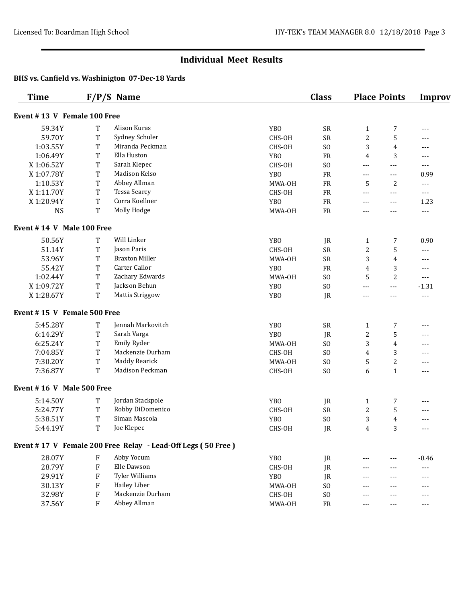| <b>Time</b>                 |                           | $F/P/S$ Name                                                |                 | <b>Class</b>   |                | <b>Place Points</b> | <b>Improv</b>  |  |  |
|-----------------------------|---------------------------|-------------------------------------------------------------|-----------------|----------------|----------------|---------------------|----------------|--|--|
| Event #13 V Female 100 Free |                           |                                                             |                 |                |                |                     |                |  |  |
| 59.34Y                      | T                         | Alison Kuras                                                | <b>YBO</b>      | <b>SR</b>      | $\mathbf{1}$   | 7                   | ---            |  |  |
| 59.70Y                      | T                         | Sydney Schuler                                              | CHS-OH          | SR             | 2              | 5                   | ---            |  |  |
| 1:03.55Y                    | T                         | Miranda Peckman                                             | CHS-OH          | S <sub>O</sub> | 3              | 4                   | $---$          |  |  |
| 1:06.49Y                    | T                         | Ella Huston                                                 | <b>YBO</b>      | FR             | $\overline{4}$ | 3                   | $---$          |  |  |
| X 1:06.52Y                  | T                         | Sarah Klepec                                                | CHS-OH          | S <sub>O</sub> | $\frac{1}{2}$  | $---$               | $---$          |  |  |
| X 1:07.78Y                  | T                         | Madison Kelso                                               | YB <sub>0</sub> | ${\rm FR}$     | $---$          | ---                 | 0.99           |  |  |
| 1:10.53Y                    | T                         | Abbey Allman                                                | MWA-OH          | ${\rm FR}$     | 5              | 2                   | ---            |  |  |
| X 1:11.70Y                  | T                         | <b>Tessa Searcy</b>                                         | CHS-OH          | ${\rm FR}$     | $---$          | $---$               | $--$           |  |  |
| X1:20.94Y                   | T                         | Corra Koellner                                              | <b>YBO</b>      | ${\rm FR}$     | $\frac{1}{2}$  | $\cdots$            | 1.23           |  |  |
| <b>NS</b>                   | T                         | Molly Hodge                                                 | MWA-OH          | ${\rm FR}$     | $- - -$        | ---                 | $---$          |  |  |
| Event #14 V Male 100 Free   |                           |                                                             |                 |                |                |                     |                |  |  |
| 50.56Y                      | T                         | Will Linker                                                 | <b>YBO</b>      | JR             | $\mathbf{1}$   | 7                   | 0.90           |  |  |
| 51.14Y                      | T                         | Jason Paris                                                 | CHS-OH          | <b>SR</b>      | $\overline{c}$ | 5                   | ---            |  |  |
| 53.96Y                      | T                         | <b>Braxton Miller</b>                                       | MWA-OH          | <b>SR</b>      | 3              | $\overline{4}$      | ---            |  |  |
| 55.42Y                      | T                         | Carter Cailor                                               | <b>YBO</b>      | FR             | 4              | 3                   | ---            |  |  |
| 1:02.44Y                    | T                         | Zachary Edwards                                             | MWA-OH          | S <sub>O</sub> | 5              | $\overline{c}$      | ---            |  |  |
| X 1:09.72Y                  | T                         | Jackson Behun                                               | <b>YBO</b>      | S <sub>O</sub> | $---$          | $- - -$             | $-1.31$        |  |  |
| X 1:28.67Y                  | T                         | <b>Mattis Striggow</b>                                      | <b>YBO</b>      | JR             | $---$          | $---$               | $\cdots$       |  |  |
| Event #15 V Female 500 Free |                           |                                                             |                 |                |                |                     |                |  |  |
| 5:45.28Y                    | T                         | Jennah Markovitch                                           | <b>YBO</b>      | <b>SR</b>      | 1              | 7                   | ---            |  |  |
| 6:14.29Y                    | T                         | Sarah Varga                                                 | <b>YBO</b>      | JR             | $\overline{c}$ | 5                   | ---            |  |  |
| 6:25.24Y                    | T                         | Emily Ryder                                                 | MWA-OH          | S <sub>O</sub> | 3              | 4                   | ---            |  |  |
| 7:04.85Y                    | T                         | Mackenzie Durham                                            | CHS-OH          | S <sub>O</sub> | 4              | 3                   | ---            |  |  |
| 7:30.20Y                    | T                         | <b>Maddy Rearick</b>                                        | MWA-OH          | S <sub>O</sub> | 5              | 2                   | ---            |  |  |
| 7:36.87Y                    | T                         | Madison Peckman                                             | CHS-OH          | S <sub>O</sub> | 6              | $\mathbf{1}$        | ---            |  |  |
| Event #16 V Male 500 Free   |                           |                                                             |                 |                |                |                     |                |  |  |
| 5:14.50Y                    | T                         | Jordan Stackpole                                            | <b>YBO</b>      | JR             | $\mathbf{1}$   | 7                   | ---            |  |  |
| 5:24.77Y                    | T                         | Robby DiDomenico                                            | CHS-OH          | SR             | 2              | 5                   | ---            |  |  |
| 5:38.51Y                    | $\mathbf T$               | Siman Mascola                                               | <b>YBO</b>      | S <sub>O</sub> | 3              | 4                   | ---            |  |  |
| 5:44.19Y                    | T                         | Joe Klepec                                                  | CHS-OH          | JR             | $\overline{4}$ | 3                   | ---            |  |  |
|                             |                           | Event #17 V Female 200 Free Relay - Lead-Off Legs (50 Free) |                 |                |                |                     |                |  |  |
| 28.07Y                      | $\boldsymbol{\mathrm{F}}$ | Abby Yocum                                                  | <b>YBO</b>      | JR             | ---            | $\cdots$            | $-0.46$        |  |  |
| 28.79Y                      | $\boldsymbol{\mathrm{F}}$ | Elle Dawson                                                 | CHS-OH          | JR             | $\frac{1}{2}$  | $---$               | $\overline{a}$ |  |  |
| 29.91Y                      | F                         | <b>Tyler Williams</b>                                       | YB <sub>0</sub> | JR             | $---$          | $- - -$             | ---            |  |  |
| 30.13Y                      | F                         | <b>Hailey Liber</b>                                         | MWA-OH          | S <sub>O</sub> | $- - -$        | ---                 | ---            |  |  |
| 32.98Y                      | $\boldsymbol{\mathrm{F}}$ | Mackenzie Durham                                            | CHS-OH          | S <sub>O</sub> | $- - -$        | ---                 | ---            |  |  |
| 37.56Y                      | F                         | Abbey Allman                                                | MWA-OH          | FR             | $\frac{1}{2}$  | $---$               | ---            |  |  |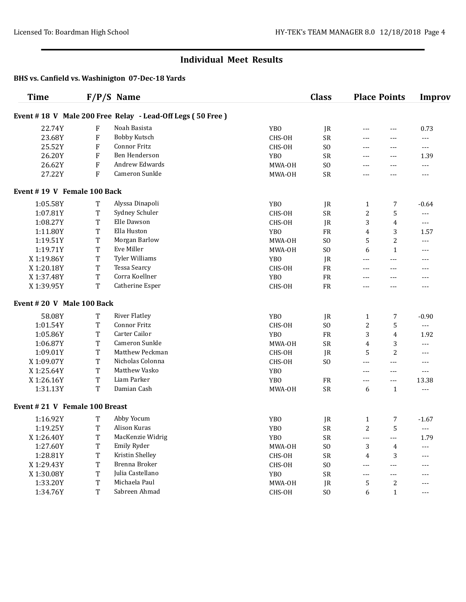| <b>Time</b>                                               |                           | $F/P/S$ Name         |                 | <b>Class</b>   | <b>Place Points</b> |                | <b>Improv</b>                                                                                                                                                                                                                                                                                                                                                                                |  |  |
|-----------------------------------------------------------|---------------------------|----------------------|-----------------|----------------|---------------------|----------------|----------------------------------------------------------------------------------------------------------------------------------------------------------------------------------------------------------------------------------------------------------------------------------------------------------------------------------------------------------------------------------------------|--|--|
| Event #18 V Male 200 Free Relay - Lead-Off Legs (50 Free) |                           |                      |                 |                |                     |                |                                                                                                                                                                                                                                                                                                                                                                                              |  |  |
| 22.74Y                                                    | F                         | Noah Basista         | <b>YBO</b>      | JR             | $---$               | ---            | 0.73                                                                                                                                                                                                                                                                                                                                                                                         |  |  |
| 23.68Y                                                    | $\boldsymbol{\mathrm{F}}$ | <b>Bobby Kutsch</b>  | CHS-OH          | SR             | ---                 | $---$          | ---                                                                                                                                                                                                                                                                                                                                                                                          |  |  |
| 25.52Y                                                    | $\boldsymbol{\mathrm{F}}$ | <b>Connor Fritz</b>  | CHS-OH          | S <sub>O</sub> | $\cdots$            | $---$          | $---$                                                                                                                                                                                                                                                                                                                                                                                        |  |  |
| 26.20Y                                                    | ${\bf F}$                 | Ben Henderson        | <b>YBO</b>      | SR             | $\cdots$            | ---            | 1.39                                                                                                                                                                                                                                                                                                                                                                                         |  |  |
| 26.62Y                                                    | ${\rm F}$                 | Andrew Edwards       | MWA-OH          | S <sub>O</sub> | ---                 | $---$          | ---                                                                                                                                                                                                                                                                                                                                                                                          |  |  |
| 27.22Y                                                    | ${\bf F}$                 | Cameron Sunkle       | MWA-OH          | SR             | $---$               | ---            | $---$                                                                                                                                                                                                                                                                                                                                                                                        |  |  |
| Event #19 V Female 100 Back                               |                           |                      |                 |                |                     |                |                                                                                                                                                                                                                                                                                                                                                                                              |  |  |
| 1:05.58Y                                                  | T                         | Alyssa Dinapoli      | <b>YBO</b>      | JR             | $\mathbf{1}$        | 7              | $-0.64$                                                                                                                                                                                                                                                                                                                                                                                      |  |  |
| 1:07.81Y                                                  | T                         | Sydney Schuler       | CHS-OH          | SR             | 2                   | 5              | ---                                                                                                                                                                                                                                                                                                                                                                                          |  |  |
| 1:08.27Y                                                  | T                         | Elle Dawson          | CHS-OH          | JR             | 3                   | $\overline{4}$ | $---$                                                                                                                                                                                                                                                                                                                                                                                        |  |  |
| 1:11.80Y                                                  | T                         | Ella Huston          | <b>YBO</b>      | <b>FR</b>      | 4                   | 3              | 1.57                                                                                                                                                                                                                                                                                                                                                                                         |  |  |
| 1:19.51Y                                                  | T                         | Morgan Barlow        | MWA-OH          | S <sub>O</sub> | 5                   | $\overline{2}$ | $--$                                                                                                                                                                                                                                                                                                                                                                                         |  |  |
| 1:19.71Y                                                  | T                         | Eve Miller           | MWA-OH          | S <sub>O</sub> | 6                   | $\mathbf{1}$   | ---                                                                                                                                                                                                                                                                                                                                                                                          |  |  |
| X 1:19.86Y                                                | T                         | Tyler Williams       | <b>YBO</b>      | JR             | $---$               | ---            | ---                                                                                                                                                                                                                                                                                                                                                                                          |  |  |
| X 1:20.18Y                                                | T                         | <b>Tessa Searcy</b>  | CHS-OH          | <b>FR</b>      | $\cdots$            | ---            | ---                                                                                                                                                                                                                                                                                                                                                                                          |  |  |
| X 1:37.48Y                                                | T                         | Corra Koellner       | <b>YBO</b>      | <b>FR</b>      | $\cdots$            | $---$          | ---                                                                                                                                                                                                                                                                                                                                                                                          |  |  |
| X 1:39.95Y                                                | T                         | Catherine Esper      | CHS-OH          | <b>FR</b>      | $\cdots$            | $---$          | ---                                                                                                                                                                                                                                                                                                                                                                                          |  |  |
| Event #20 V Male 100 Back                                 |                           |                      |                 |                |                     |                |                                                                                                                                                                                                                                                                                                                                                                                              |  |  |
| 58.08Y                                                    | T                         | <b>River Flatley</b> | <b>YBO</b>      | JR             | $\mathbf{1}$        | 7              | $-0.90$                                                                                                                                                                                                                                                                                                                                                                                      |  |  |
| 1:01.54Y                                                  | T                         | <b>Connor Fritz</b>  | CHS-OH          | S <sub>O</sub> | 2                   | 5              | ---                                                                                                                                                                                                                                                                                                                                                                                          |  |  |
| 1:05.86Y                                                  | T                         | Carter Cailor        | <b>YBO</b>      | FR             | 3                   | $\overline{4}$ | 1.92                                                                                                                                                                                                                                                                                                                                                                                         |  |  |
| 1:06.87Y                                                  | T                         | Cameron Sunkle       | MWA-OH          | <b>SR</b>      | 4                   | 3              | ---                                                                                                                                                                                                                                                                                                                                                                                          |  |  |
| 1:09.01Y                                                  | T                         | Matthew Peckman      | CHS-OH          | JR             | 5                   | $\overline{2}$ | ---                                                                                                                                                                                                                                                                                                                                                                                          |  |  |
| X 1:09.07Y                                                | T                         | Nicholas Colonna     | CHS-OH          | S <sub>O</sub> | ---                 | ---            | ---                                                                                                                                                                                                                                                                                                                                                                                          |  |  |
| X 1:25.64Y                                                | T                         | Matthew Vasko        | <b>YBO</b>      |                | ---                 | ---            | ---                                                                                                                                                                                                                                                                                                                                                                                          |  |  |
| X1:26.16Y                                                 | T                         | Liam Parker          | YB <sub>0</sub> | FR             | $\cdots$            | ---            | 13.38                                                                                                                                                                                                                                                                                                                                                                                        |  |  |
| 1:31.13Y                                                  | T                         | Damian Cash          | MWA-OH          | ${\sf SR}$     | 6                   | $\mathbf{1}$   | ---                                                                                                                                                                                                                                                                                                                                                                                          |  |  |
| Event #21 V Female 100 Breast                             |                           |                      |                 |                |                     |                |                                                                                                                                                                                                                                                                                                                                                                                              |  |  |
| 1:16.92Y                                                  | T                         | Abby Yocum           | <b>YBO</b>      | JR             | $\mathbf{1}$        | 7              | $-1.67$                                                                                                                                                                                                                                                                                                                                                                                      |  |  |
| 1:19.25Y                                                  | $\rm T$                   | Alison Kuras         | <b>YBO</b>      | <b>SR</b>      | $\overline{c}$      | 5              | $\cdots$                                                                                                                                                                                                                                                                                                                                                                                     |  |  |
| X 1:26.40Y                                                | T                         | MacKenzie Widrig     | YB <sub>0</sub> | ${\sf SR}$     | $---$               | ---            | 1.79                                                                                                                                                                                                                                                                                                                                                                                         |  |  |
| 1:27.60Y                                                  | T                         | Emily Ryder          | MWA-OH          | SO             | 3                   | 4              | $--$                                                                                                                                                                                                                                                                                                                                                                                         |  |  |
| 1:28.81Y                                                  | T                         | Kristin Shelley      | CHS-OH          | ${\sf SR}$     | 4                   | 3              | ---                                                                                                                                                                                                                                                                                                                                                                                          |  |  |
| X 1:29.43Y                                                | T                         | Brenna Broker        | CHS-OH          | SO             | $\cdots$            | ---            | ---                                                                                                                                                                                                                                                                                                                                                                                          |  |  |
| X 1:30.08Y                                                | T                         | Julia Castellano     | YB <sub>0</sub> | ${\sf SR}$     | $---$               | ---            | ---                                                                                                                                                                                                                                                                                                                                                                                          |  |  |
| 1:33.20Y                                                  | $\mathbf T$               | Michaela Paul        | MWA-OH          | JR             | 5                   | 2              | ---                                                                                                                                                                                                                                                                                                                                                                                          |  |  |
| 1:34.76Y                                                  | T                         | Sabreen Ahmad        | CHS-OH          | SO             | 6                   | $\mathbf{1}$   | $\frac{1}{2} \frac{1}{2} \frac{1}{2} \frac{1}{2} \frac{1}{2} \frac{1}{2} \frac{1}{2} \frac{1}{2} \frac{1}{2} \frac{1}{2} \frac{1}{2} \frac{1}{2} \frac{1}{2} \frac{1}{2} \frac{1}{2} \frac{1}{2} \frac{1}{2} \frac{1}{2} \frac{1}{2} \frac{1}{2} \frac{1}{2} \frac{1}{2} \frac{1}{2} \frac{1}{2} \frac{1}{2} \frac{1}{2} \frac{1}{2} \frac{1}{2} \frac{1}{2} \frac{1}{2} \frac{1}{2} \frac{$ |  |  |